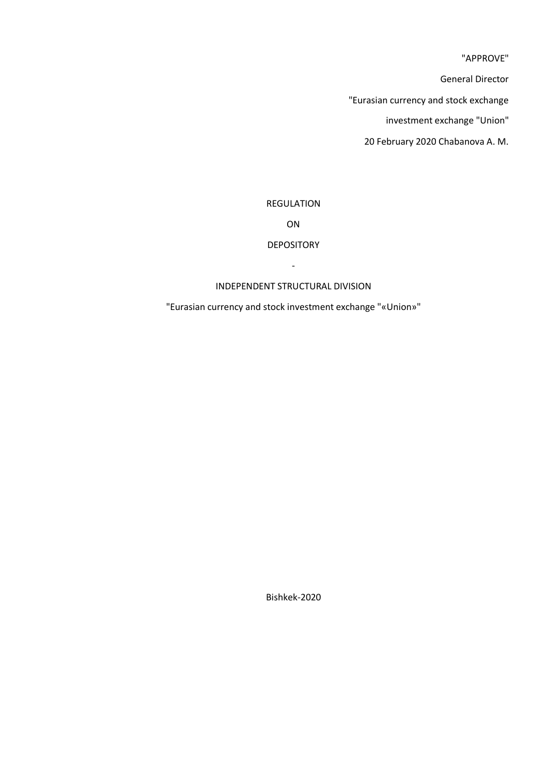"APPROVE"

General Director

"Eurasian currency and stock exchange

investment exchange "Union"

20 February 2020 Chabanova A. M.

# REGULATION

ON

# DEPOSITORY

INDEPENDENT STRUCTURAL DIVISION

-

"Eurasian currency and stock investment exchange "«Union»"

Bishkek-2020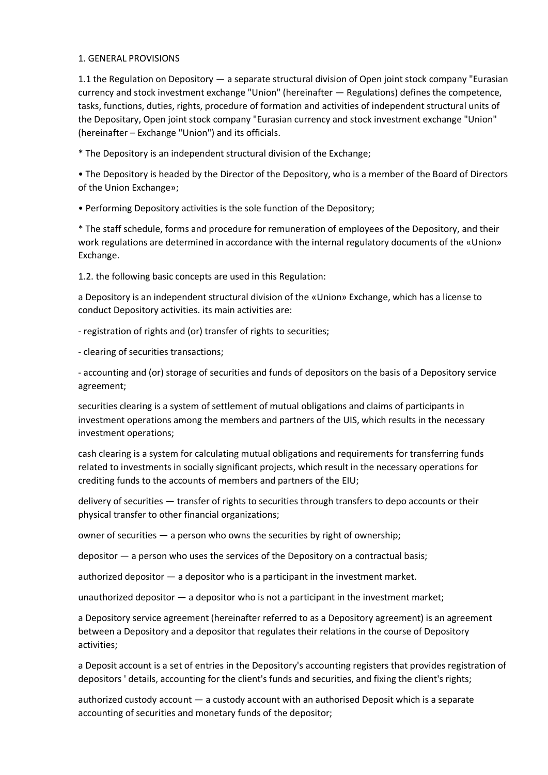# 1. GENERAL PROVISIONS

1.1 the Regulation on Depository — a separate structural division of Open joint stock company "Eurasian currency and stock investment exchange "Union" (hereinafter — Regulations) defines the competence, tasks, functions, duties, rights, procedure of formation and activities of independent structural units of the Depositary, Open joint stock company "Eurasian currency and stock investment exchange "Union" (hereinafter – Exchange "Union") and its officials.

\* The Depository is an independent structural division of the Exchange;

• The Depository is headed by the Director of the Depository, who is a member of the Board of Directors of the Union Exchange»;

• Performing Depository activities is the sole function of the Depository;

\* The staff schedule, forms and procedure for remuneration of employees of the Depository, and their work regulations are determined in accordance with the internal regulatory documents of the «Union» Exchange.

1.2. the following basic concepts are used in this Regulation:

a Depository is an independent structural division of the «Union» Exchange, which has a license to conduct Depository activities. its main activities are:

- registration of rights and (or) transfer of rights to securities;

- clearing of securities transactions;

- accounting and (or) storage of securities and funds of depositors on the basis of a Depository service agreement;

securities clearing is a system of settlement of mutual obligations and claims of participants in investment operations among the members and partners of the UIS, which results in the necessary investment operations;

cash clearing is a system for calculating mutual obligations and requirements for transferring funds related to investments in socially significant projects, which result in the necessary operations for crediting funds to the accounts of members and partners of the EIU;

delivery of securities — transfer of rights to securities through transfers to depo accounts or their physical transfer to other financial organizations;

owner of securities — a person who owns the securities by right of ownership;

depositor — a person who uses the services of the Depository on a contractual basis;

authorized depositor — a depositor who is a participant in the investment market.

unauthorized depositor — a depositor who is not a participant in the investment market;

a Depository service agreement (hereinafter referred to as a Depository agreement) is an agreement between a Depository and a depositor that regulates their relations in the course of Depository activities;

a Deposit account is a set of entries in the Depository's accounting registers that provides registration of depositors ' details, accounting for the client's funds and securities, and fixing the client's rights;

authorized custody account — a custody account with an authorised Deposit which is a separate accounting of securities and monetary funds of the depositor;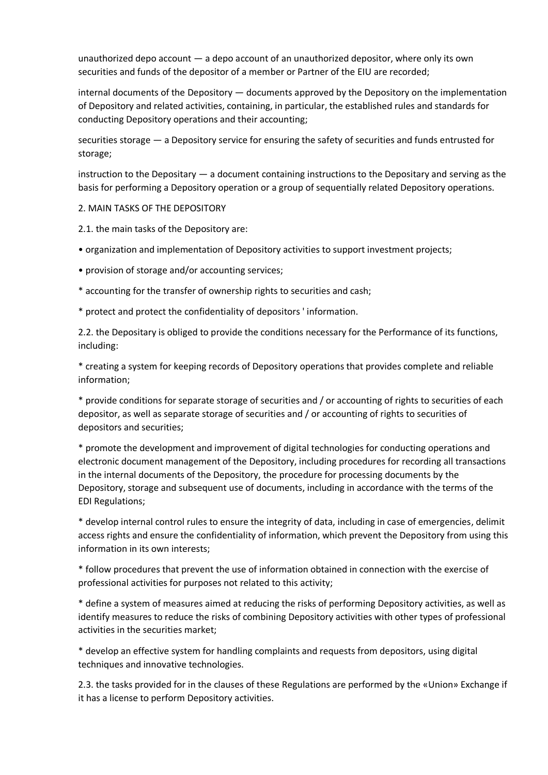unauthorized depo account — a depo account of an unauthorized depositor, where only its own securities and funds of the depositor of a member or Partner of the EIU are recorded;

internal documents of the Depository — documents approved by the Depository on the implementation of Depository and related activities, containing, in particular, the established rules and standards for conducting Depository operations and their accounting;

securities storage — a Depository service for ensuring the safety of securities and funds entrusted for storage;

instruction to the Depositary — a document containing instructions to the Depositary and serving as the basis for performing a Depository operation or a group of sequentially related Depository operations.

2. MAIN TASKS OF THE DEPOSITORY

2.1. the main tasks of the Depository are:

- organization and implementation of Depository activities to support investment projects;
- provision of storage and/or accounting services;
- \* accounting for the transfer of ownership rights to securities and cash;
- \* protect and protect the confidentiality of depositors ' information.

2.2. the Depositary is obliged to provide the conditions necessary for the Performance of its functions, including:

\* creating a system for keeping records of Depository operations that provides complete and reliable information;

\* provide conditions for separate storage of securities and / or accounting of rights to securities of each depositor, as well as separate storage of securities and / or accounting of rights to securities of depositors and securities;

\* promote the development and improvement of digital technologies for conducting operations and electronic document management of the Depository, including procedures for recording all transactions in the internal documents of the Depository, the procedure for processing documents by the Depository, storage and subsequent use of documents, including in accordance with the terms of the EDI Regulations;

\* develop internal control rules to ensure the integrity of data, including in case of emergencies, delimit access rights and ensure the confidentiality of information, which prevent the Depository from using this information in its own interests;

\* follow procedures that prevent the use of information obtained in connection with the exercise of professional activities for purposes not related to this activity;

\* define a system of measures aimed at reducing the risks of performing Depository activities, as well as identify measures to reduce the risks of combining Depository activities with other types of professional activities in the securities market;

\* develop an effective system for handling complaints and requests from depositors, using digital techniques and innovative technologies.

2.3. the tasks provided for in the clauses of these Regulations are performed by the «Union» Exchange if it has a license to perform Depository activities.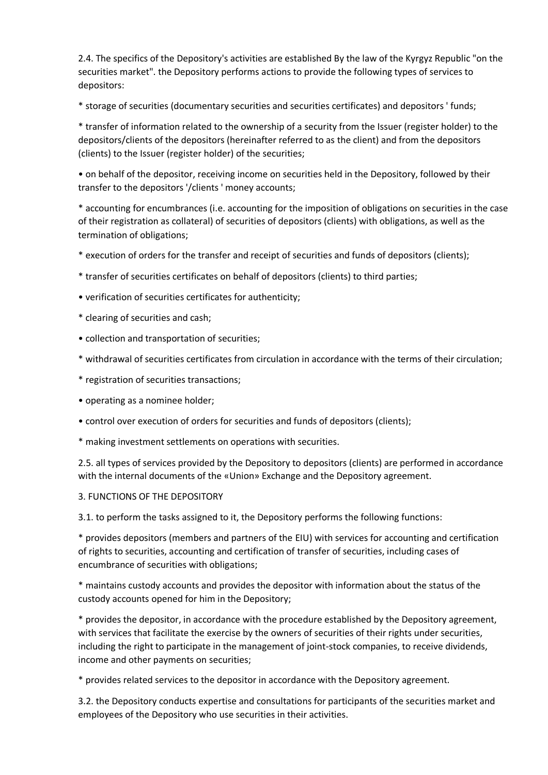2.4. The specifics of the Depository's activities are established By the law of the Kyrgyz Republic "on the securities market". the Depository performs actions to provide the following types of services to depositors:

\* storage of securities (documentary securities and securities certificates) and depositors ' funds;

\* transfer of information related to the ownership of a security from the Issuer (register holder) to the depositors/clients of the depositors (hereinafter referred to as the client) and from the depositors (clients) to the Issuer (register holder) of the securities;

• on behalf of the depositor, receiving income on securities held in the Depository, followed by their transfer to the depositors '/clients ' money accounts;

\* accounting for encumbrances (i.e. accounting for the imposition of obligations on securities in the case of their registration as collateral) of securities of depositors (clients) with obligations, as well as the termination of obligations;

\* execution of orders for the transfer and receipt of securities and funds of depositors (clients);

- \* transfer of securities certificates on behalf of depositors (clients) to third parties;
- verification of securities certificates for authenticity;
- \* clearing of securities and cash;
- collection and transportation of securities;
- \* withdrawal of securities certificates from circulation in accordance with the terms of their circulation;
- \* registration of securities transactions;
- operating as a nominee holder;
- control over execution of orders for securities and funds of depositors (clients);
- \* making investment settlements on operations with securities.

2.5. all types of services provided by the Depository to depositors (clients) are performed in accordance with the internal documents of the «Union» Exchange and the Depository agreement.

# 3. FUNCTIONS OF THE DEPOSITORY

3.1. to perform the tasks assigned to it, the Depository performs the following functions:

\* provides depositors (members and partners of the EIU) with services for accounting and certification of rights to securities, accounting and certification of transfer of securities, including cases of encumbrance of securities with obligations;

\* maintains custody accounts and provides the depositor with information about the status of the custody accounts opened for him in the Depository;

\* provides the depositor, in accordance with the procedure established by the Depository agreement, with services that facilitate the exercise by the owners of securities of their rights under securities, including the right to participate in the management of joint-stock companies, to receive dividends, income and other payments on securities;

\* provides related services to the depositor in accordance with the Depository agreement.

3.2. the Depository conducts expertise and consultations for participants of the securities market and employees of the Depository who use securities in their activities.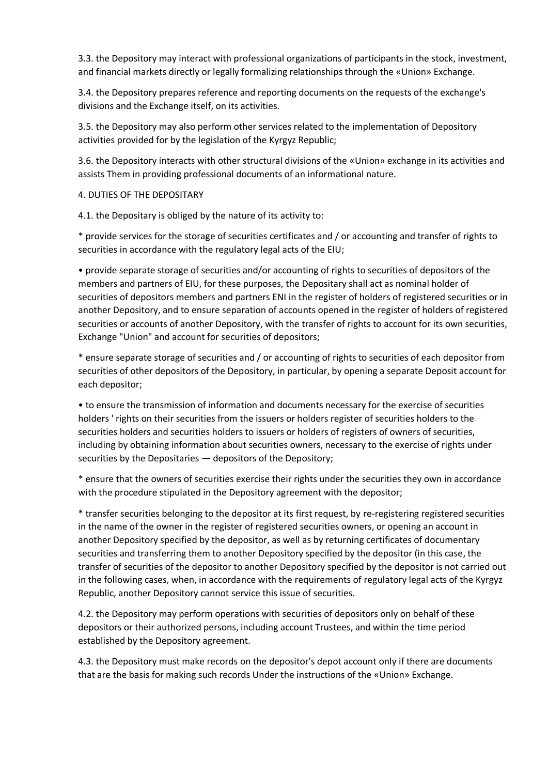3.3. the Depository may interact with professional organizations of participants in the stock, investment, and financial markets directly or legally formalizing relationships through the «Union» Exchange.

3.4. the Depository prepares reference and reporting documents on the requests of the exchange's divisions and the Exchange itself, on its activities.

3.5. the Depository may also perform other services related to the implementation of Depository activities provided for by the legislation of the Kyrgyz Republic;

3.6. the Depository interacts with other structural divisions of the «Union» exchange in its activities and assists Them in providing professional documents of an informational nature.

4. DUTIES OF THE DEPOSITARY

4.1. the Depositary is obliged by the nature of its activity to:

\* provide services for the storage of securities certificates and / or accounting and transfer of rights to securities in accordance with the regulatory legal acts of the EIU;

• provide separate storage of securities and/or accounting of rights to securities of depositors of the members and partners of EIU, for these purposes, the Depositary shall act as nominal holder of securities of depositors members and partners ENI in the register of holders of registered securities or in another Depository, and to ensure separation of accounts opened in the register of holders of registered securities or accounts of another Depository, with the transfer of rights to account for its own securities, Exchange "Union" and account for securities of depositors;

\* ensure separate storage of securities and / or accounting of rights to securities of each depositor from securities of other depositors of the Depository, in particular, by opening a separate Deposit account for each depositor;

• to ensure the transmission of information and documents necessary for the exercise of securities holders ' rights on their securities from the issuers or holders register of securities holders to the securities holders and securities holders to issuers or holders of registers of owners of securities, including by obtaining information about securities owners, necessary to the exercise of rights under securities by the Depositaries — depositors of the Depository;

\* ensure that the owners of securities exercise their rights under the securities they own in accordance with the procedure stipulated in the Depository agreement with the depositor;

\* transfer securities belonging to the depositor at its first request, by re-registering registered securities in the name of the owner in the register of registered securities owners, or opening an account in another Depository specified by the depositor, as well as by returning certificates of documentary securities and transferring them to another Depository specified by the depositor (in this case, the transfer of securities of the depositor to another Depository specified by the depositor is not carried out in the following cases, when, in accordance with the requirements of regulatory legal acts of the Kyrgyz Republic, another Depository cannot service this issue of securities.

4.2. the Depository may perform operations with securities of depositors only on behalf of these depositors or their authorized persons, including account Trustees, and within the time period established by the Depository agreement.

4.3. the Depository must make records on the depositor's depot account only if there are documents that are the basis for making such records Under the instructions of the «Union» Exchange.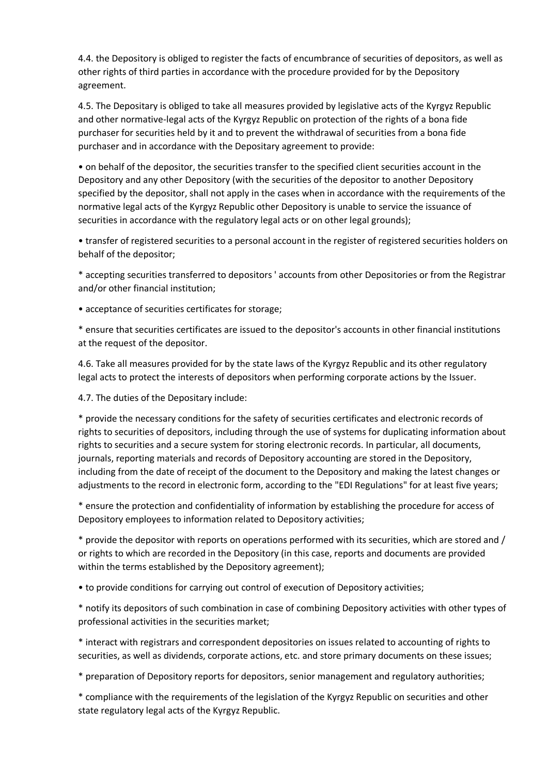4.4. the Depository is obliged to register the facts of encumbrance of securities of depositors, as well as other rights of third parties in accordance with the procedure provided for by the Depository agreement.

4.5. The Depositary is obliged to take all measures provided by legislative acts of the Kyrgyz Republic and other normative-legal acts of the Kyrgyz Republic on protection of the rights of a bona fide purchaser for securities held by it and to prevent the withdrawal of securities from a bona fide purchaser and in accordance with the Depositary agreement to provide:

• on behalf of the depositor, the securities transfer to the specified client securities account in the Depository and any other Depository (with the securities of the depositor to another Depository specified by the depositor, shall not apply in the cases when in accordance with the requirements of the normative legal acts of the Kyrgyz Republic other Depository is unable to service the issuance of securities in accordance with the regulatory legal acts or on other legal grounds);

• transfer of registered securities to a personal account in the register of registered securities holders on behalf of the depositor;

\* accepting securities transferred to depositors ' accounts from other Depositories or from the Registrar and/or other financial institution;

• acceptance of securities certificates for storage;

\* ensure that securities certificates are issued to the depositor's accounts in other financial institutions at the request of the depositor.

4.6. Take all measures provided for by the state laws of the Kyrgyz Republic and its other regulatory legal acts to protect the interests of depositors when performing corporate actions by the Issuer.

4.7. The duties of the Depositary include:

\* provide the necessary conditions for the safety of securities certificates and electronic records of rights to securities of depositors, including through the use of systems for duplicating information about rights to securities and a secure system for storing electronic records. In particular, all documents, journals, reporting materials and records of Depository accounting are stored in the Depository, including from the date of receipt of the document to the Depository and making the latest changes or adjustments to the record in electronic form, according to the "EDI Regulations" for at least five years;

\* ensure the protection and confidentiality of information by establishing the procedure for access of Depository employees to information related to Depository activities;

\* provide the depositor with reports on operations performed with its securities, which are stored and / or rights to which are recorded in the Depository (in this case, reports and documents are provided within the terms established by the Depository agreement);

• to provide conditions for carrying out control of execution of Depository activities;

\* notify its depositors of such combination in case of combining Depository activities with other types of professional activities in the securities market;

\* interact with registrars and correspondent depositories on issues related to accounting of rights to securities, as well as dividends, corporate actions, etc. and store primary documents on these issues;

\* preparation of Depository reports for depositors, senior management and regulatory authorities;

\* compliance with the requirements of the legislation of the Kyrgyz Republic on securities and other state regulatory legal acts of the Kyrgyz Republic.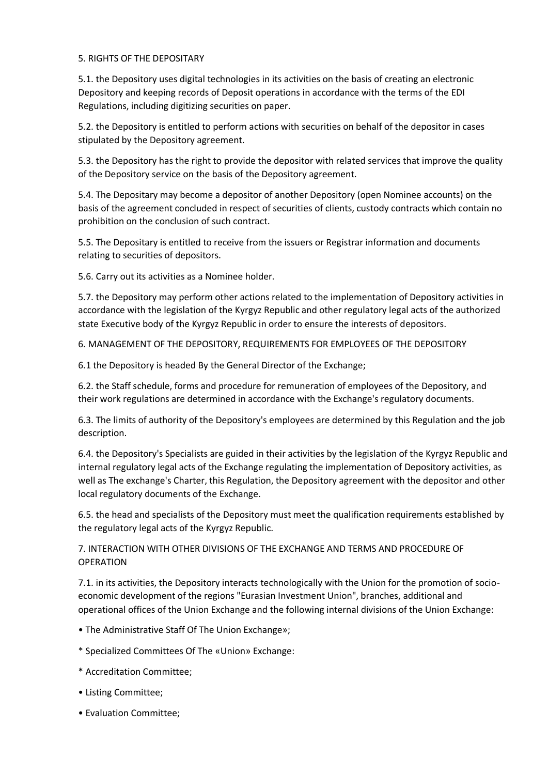# 5. RIGHTS OF THE DEPOSITARY

5.1. the Depository uses digital technologies in its activities on the basis of creating an electronic Depository and keeping records of Deposit operations in accordance with the terms of the EDI Regulations, including digitizing securities on paper.

5.2. the Depository is entitled to perform actions with securities on behalf of the depositor in cases stipulated by the Depository agreement.

5.3. the Depository has the right to provide the depositor with related services that improve the quality of the Depository service on the basis of the Depository agreement.

5.4. The Depositary may become a depositor of another Depository (open Nominee accounts) on the basis of the agreement concluded in respect of securities of clients, custody contracts which contain no prohibition on the conclusion of such contract.

5.5. The Depositary is entitled to receive from the issuers or Registrar information and documents relating to securities of depositors.

5.6. Carry out its activities as a Nominee holder.

5.7. the Depository may perform other actions related to the implementation of Depository activities in accordance with the legislation of the Kyrgyz Republic and other regulatory legal acts of the authorized state Executive body of the Kyrgyz Republic in order to ensure the interests of depositors.

6. MANAGEMENT OF THE DEPOSITORY, REQUIREMENTS FOR EMPLOYEES OF THE DEPOSITORY

6.1 the Depository is headed By the General Director of the Exchange;

6.2. the Staff schedule, forms and procedure for remuneration of employees of the Depository, and their work regulations are determined in accordance with the Exchange's regulatory documents.

6.3. The limits of authority of the Depository's employees are determined by this Regulation and the job description.

6.4. the Depository's Specialists are guided in their activities by the legislation of the Kyrgyz Republic and internal regulatory legal acts of the Exchange regulating the implementation of Depository activities, as well as The exchange's Charter, this Regulation, the Depository agreement with the depositor and other local regulatory documents of the Exchange.

6.5. the head and specialists of the Depository must meet the qualification requirements established by the regulatory legal acts of the Kyrgyz Republic.

7. INTERACTION WITH OTHER DIVISIONS OF THE EXCHANGE AND TERMS AND PROCEDURE OF OPERATION

7.1. in its activities, the Depository interacts technologically with the Union for the promotion of socioeconomic development of the regions "Eurasian Investment Union", branches, additional and operational offices of the Union Exchange and the following internal divisions of the Union Exchange:

- The Administrative Staff Of The Union Exchange»;
- \* Specialized Committees Of The «Union» Exchange:
- \* Accreditation Committee;
- Listing Committee;
- Evaluation Committee;